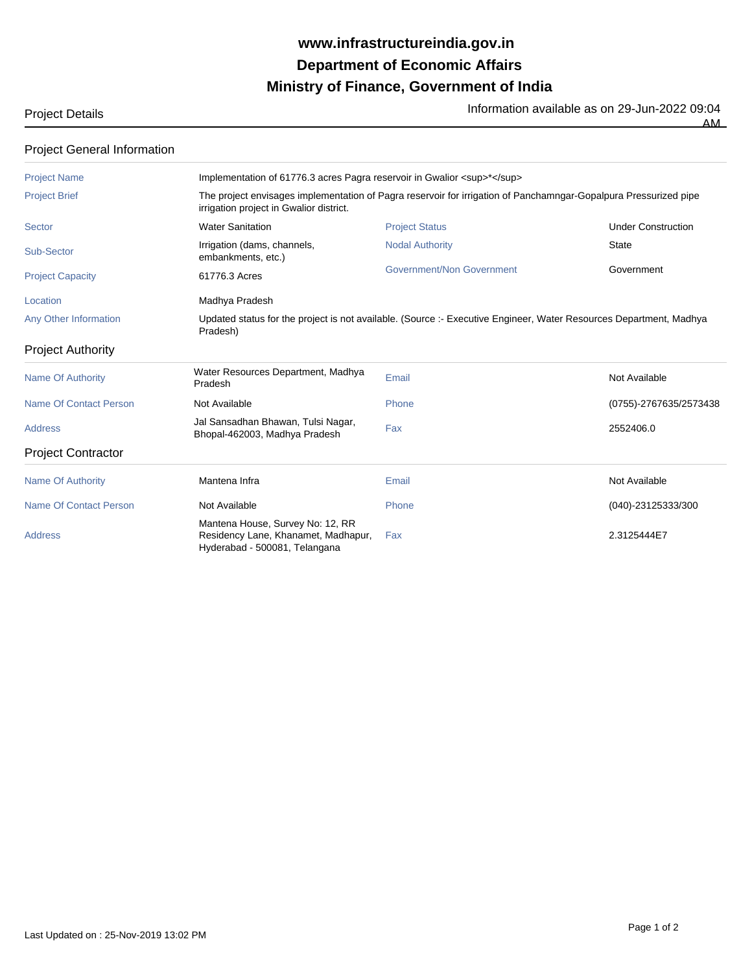# **Ministry of Finance, Government of India Department of Economic Affairs www.infrastructureindia.gov.in**

Project Details **Information available as on 29-Jun-2022** 09:04

| <b>Project General Information</b> |                                                                                                                                                             |                           |                           |  |  |
|------------------------------------|-------------------------------------------------------------------------------------------------------------------------------------------------------------|---------------------------|---------------------------|--|--|
| <b>Project Name</b>                | Implementation of 61776.3 acres Pagra reservoir in Gwalior <sup>*</sup>                                                                                     |                           |                           |  |  |
| <b>Project Brief</b>               | The project envisages implementation of Pagra reservoir for irrigation of Panchamngar-Gopalpura Pressurized pipe<br>irrigation project in Gwalior district. |                           |                           |  |  |
| Sector                             | <b>Water Sanitation</b>                                                                                                                                     | <b>Project Status</b>     | <b>Under Construction</b> |  |  |
| Sub-Sector                         | Irrigation (dams, channels,<br>embankments, etc.)                                                                                                           | <b>Nodal Authority</b>    | State                     |  |  |
| <b>Project Capacity</b>            | 61776.3 Acres                                                                                                                                               | Government/Non Government | Government                |  |  |

Location **Madhya Pradesh** Any Other Information

Updated status for the project is not available. (Source :- Executive Engineer, Water Resources Department, Madhya Pradesh)

### Project Authority

| Name Of Authority         | Water Resources Department, Madhya<br>Pradesh                                                            | Email | Not Available          |
|---------------------------|----------------------------------------------------------------------------------------------------------|-------|------------------------|
| Name Of Contact Person    | Not Available                                                                                            | Phone | (0755)-2767635/2573438 |
| <b>Address</b>            | Jal Sansadhan Bhawan, Tulsi Nagar,<br>Bhopal-462003, Madhya Pradesh                                      | Fax   | 2552406.0              |
| <b>Project Contractor</b> |                                                                                                          |       |                        |
| Name Of Authority         | Mantena Infra                                                                                            | Email | Not Available          |
| Name Of Contact Person    | Not Available                                                                                            | Phone | (040)-23125333/300     |
| <b>Address</b>            | Mantena House, Survey No: 12, RR<br>Residency Lane, Khanamet, Madhapur,<br>Hyderabad - 500081, Telangana | Fax   | 2.3125444E7            |

AM